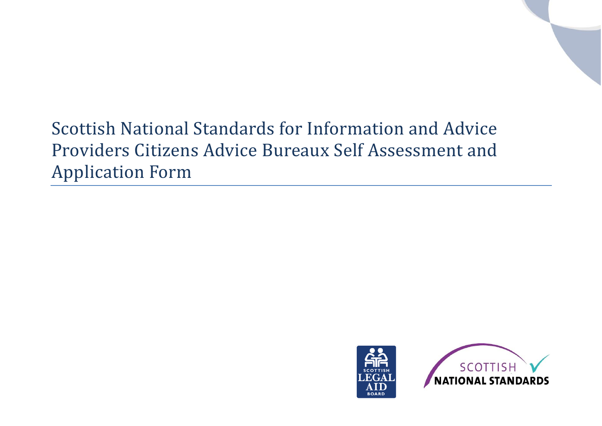# Scottish National Standards for Information and Advice Providers Citizens Advice Bureaux Self Assessment and Application Form



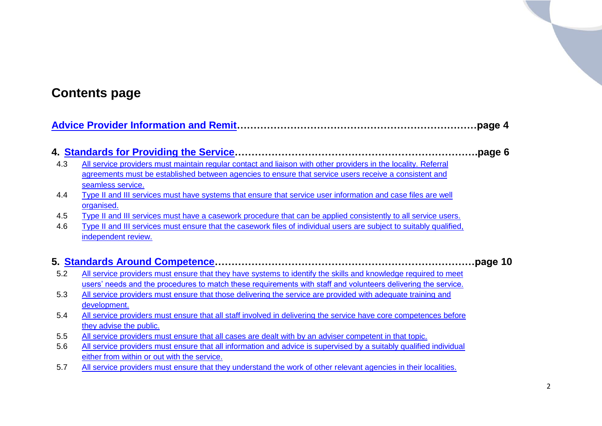## **Contents page**

|     |                                                                                                                     | page 4. |
|-----|---------------------------------------------------------------------------------------------------------------------|---------|
|     |                                                                                                                     |         |
| 4.3 | All service providers must maintain regular contact and liaison with other providers in the locality. Referral      | page 6. |
|     | agreements must be established between agencies to ensure that service users receive a consistent and               |         |
|     | seamless service.                                                                                                   |         |
| 4.4 | Type II and III services must have systems that ensure that service user information and case files are well        |         |
|     | organised.                                                                                                          |         |
| 4.5 | Type II and III services must have a casework procedure that can be applied consistently to all service users.      |         |
| 4.6 | Type II and III services must ensure that the casework files of individual users are subject to suitably qualified, |         |
|     | independent review.                                                                                                 |         |
|     |                                                                                                                     |         |
|     |                                                                                                                     | page 10 |
| 5.2 | All service providers must ensure that they have systems to identify the skills and knowledge required to meet      |         |
|     | users' needs and the procedures to match these requirements with staff and volunteers delivering the service.       |         |
| 5.3 | All service providers must ensure that those delivering the service are provided with adequate training and         |         |
|     | development.                                                                                                        |         |
| 5.4 | All service providers must ensure that all staff involved in delivering the service have core competences before    |         |
|     | they advise the public.                                                                                             |         |
| 5.5 | All service providers must ensure that all cases are dealt with by an adviser competent in that topic.              |         |
| 5.6 | All service providers must ensure that all information and advice is supervised by a suitably qualified individual  |         |
|     | either from within or out with the service.                                                                         |         |
| 5.7 | All service providers must ensure that they understand the work of other relevant agencies in their localities.     |         |
|     |                                                                                                                     |         |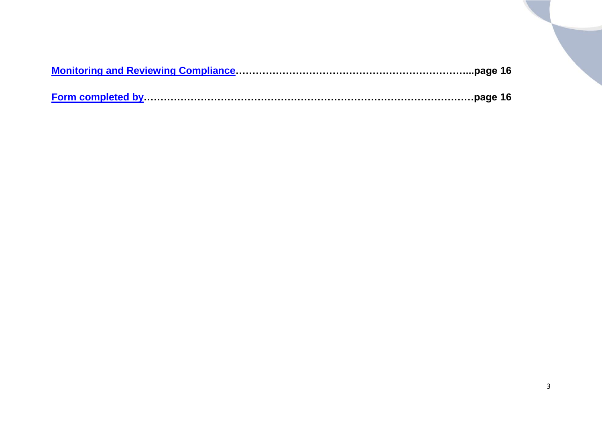<span id="page-2-0"></span>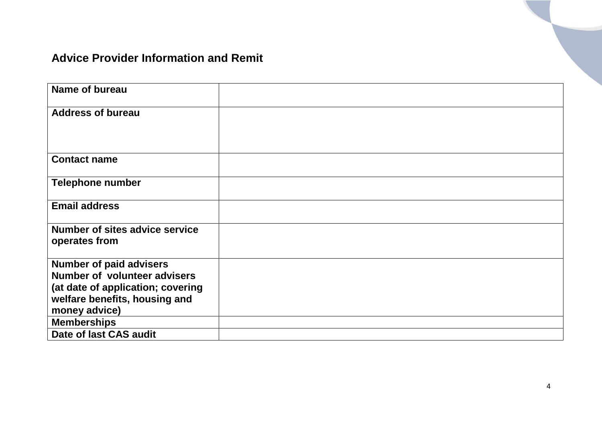#### **Advice Provider Information and Remit**

| <b>Name of bureau</b>                                              |  |
|--------------------------------------------------------------------|--|
| <b>Address of bureau</b>                                           |  |
| <b>Contact name</b>                                                |  |
| <b>Telephone number</b>                                            |  |
| <b>Email address</b>                                               |  |
| Number of sites advice service<br>operates from                    |  |
| <b>Number of paid advisers</b>                                     |  |
| <b>Number of volunteer advisers</b>                                |  |
| (at date of application; covering<br>welfare benefits, housing and |  |
| money advice)                                                      |  |
| <b>Memberships</b>                                                 |  |
| Date of last CAS audit                                             |  |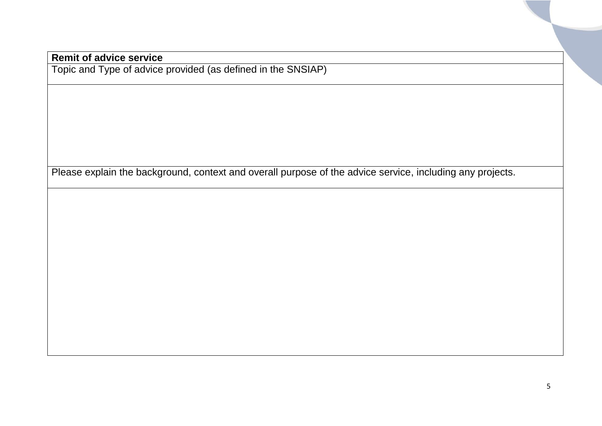#### **Remit of advice service**

Topic and Type of advice provided (as defined in the SNSIAP)

Please explain the background, context and overall purpose of the advice service, including any projects.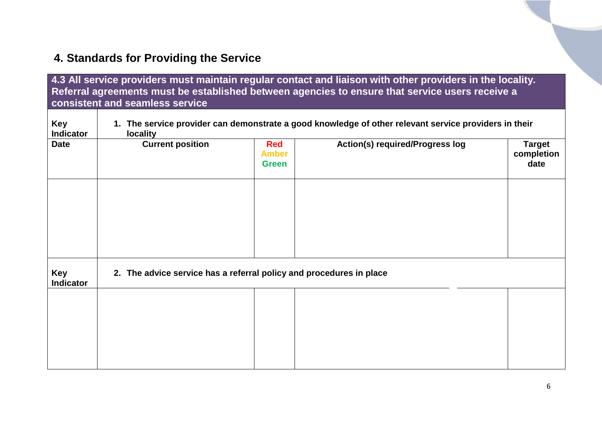### <span id="page-5-0"></span>**4. Standards for Providing the Service**

<span id="page-5-1"></span>

|                                | consistent and seamless service                                     |                                            | 4.3 All service providers must maintain regular contact and liaison with other providers in the locality.<br>Referral agreements must be established between agencies to ensure that service users receive a |                                     |
|--------------------------------|---------------------------------------------------------------------|--------------------------------------------|--------------------------------------------------------------------------------------------------------------------------------------------------------------------------------------------------------------|-------------------------------------|
| <b>Key</b><br><b>Indicator</b> | <b>locality</b>                                                     |                                            | 1. The service provider can demonstrate a good knowledge of other relevant service providers in their                                                                                                        |                                     |
| <b>Date</b>                    | <b>Current position</b>                                             | <b>Red</b><br><b>Amber</b><br><b>Green</b> | <b>Action(s) required/Progress log</b>                                                                                                                                                                       | <b>Target</b><br>completion<br>date |
|                                |                                                                     |                                            |                                                                                                                                                                                                              |                                     |
|                                |                                                                     |                                            |                                                                                                                                                                                                              |                                     |
| Key<br><b>Indicator</b>        | 2. The advice service has a referral policy and procedures in place |                                            |                                                                                                                                                                                                              |                                     |
|                                |                                                                     |                                            |                                                                                                                                                                                                              |                                     |
|                                |                                                                     |                                            |                                                                                                                                                                                                              |                                     |
|                                |                                                                     |                                            |                                                                                                                                                                                                              |                                     |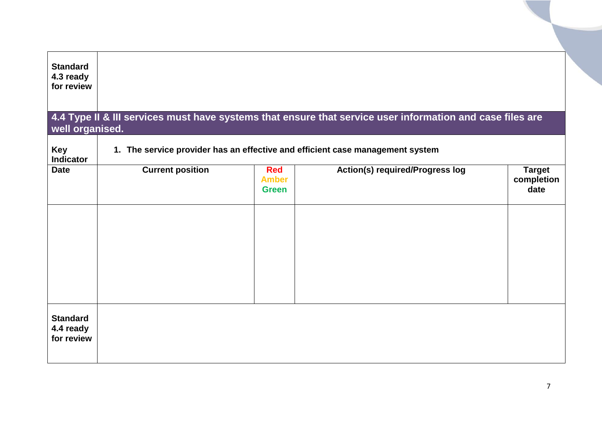<span id="page-6-0"></span>

| <b>Standard</b><br>4.3 ready<br>for review |                         |                                            |                                                                                                           |                                     |
|--------------------------------------------|-------------------------|--------------------------------------------|-----------------------------------------------------------------------------------------------------------|-------------------------------------|
| well organised.                            |                         |                                            | 4.4 Type II & III services must have systems that ensure that service user information and case files are |                                     |
| Key<br><b>Indicator</b>                    |                         |                                            | 1. The service provider has an effective and efficient case management system                             |                                     |
| <b>Date</b>                                | <b>Current position</b> | <b>Red</b><br><b>Amber</b><br><b>Green</b> | <b>Action(s) required/Progress log</b>                                                                    | <b>Target</b><br>completion<br>date |
|                                            |                         |                                            |                                                                                                           |                                     |
|                                            |                         |                                            |                                                                                                           |                                     |
|                                            |                         |                                            |                                                                                                           |                                     |
| <b>Standard</b><br>4.4 ready<br>for review |                         |                                            |                                                                                                           |                                     |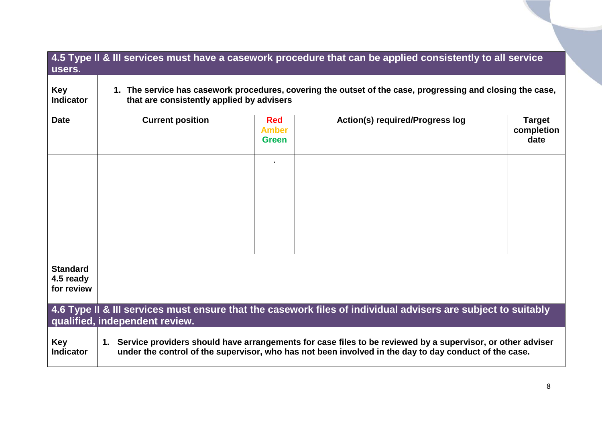<span id="page-7-1"></span><span id="page-7-0"></span>

|                                            | 4.5 Type II & III services must have a casework procedure that can be applied consistently to all service                                                                                                              |                                            |                                                                                                               |                                     |  |
|--------------------------------------------|------------------------------------------------------------------------------------------------------------------------------------------------------------------------------------------------------------------------|--------------------------------------------|---------------------------------------------------------------------------------------------------------------|-------------------------------------|--|
| users.                                     |                                                                                                                                                                                                                        |                                            |                                                                                                               |                                     |  |
| <b>Key</b><br><b>Indicator</b>             | 1. The service has casework procedures, covering the outset of the case, progressing and closing the case,<br>that are consistently applied by advisers                                                                |                                            |                                                                                                               |                                     |  |
| <b>Date</b>                                | <b>Current position</b>                                                                                                                                                                                                | <b>Red</b><br><b>Amber</b><br><b>Green</b> | <b>Action(s) required/Progress log</b>                                                                        | <b>Target</b><br>completion<br>date |  |
|                                            |                                                                                                                                                                                                                        |                                            |                                                                                                               |                                     |  |
|                                            |                                                                                                                                                                                                                        |                                            |                                                                                                               |                                     |  |
|                                            |                                                                                                                                                                                                                        |                                            |                                                                                                               |                                     |  |
| <b>Standard</b><br>4.5 ready<br>for review |                                                                                                                                                                                                                        |                                            |                                                                                                               |                                     |  |
|                                            | qualified, independent review.                                                                                                                                                                                         |                                            | 4.6 Type II & III services must ensure that the casework files of individual advisers are subject to suitably |                                     |  |
| <b>Key</b><br><b>Indicator</b>             | 1. Service providers should have arrangements for case files to be reviewed by a supervisor, or other adviser<br>under the control of the supervisor, who has not been involved in the day to day conduct of the case. |                                            |                                                                                                               |                                     |  |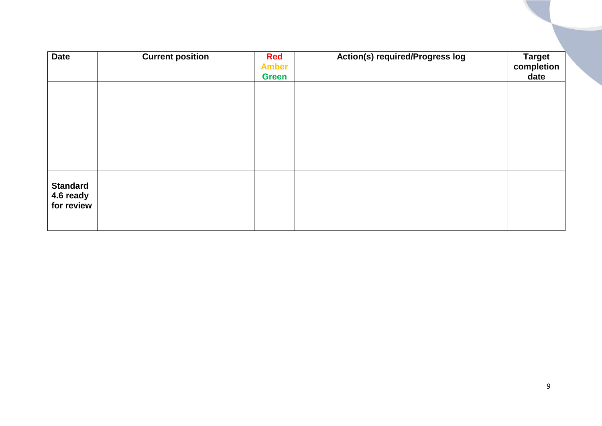| <b>Date</b>                                | <b>Current position</b> | <b>Red</b><br><b>Amber</b><br><b>Green</b> | <b>Action(s) required/Progress log</b> | <b>Target</b><br>completion<br>date |
|--------------------------------------------|-------------------------|--------------------------------------------|----------------------------------------|-------------------------------------|
|                                            |                         |                                            |                                        |                                     |
|                                            |                         |                                            |                                        |                                     |
|                                            |                         |                                            |                                        |                                     |
| <b>Standard</b><br>4.6 ready<br>for review |                         |                                            |                                        |                                     |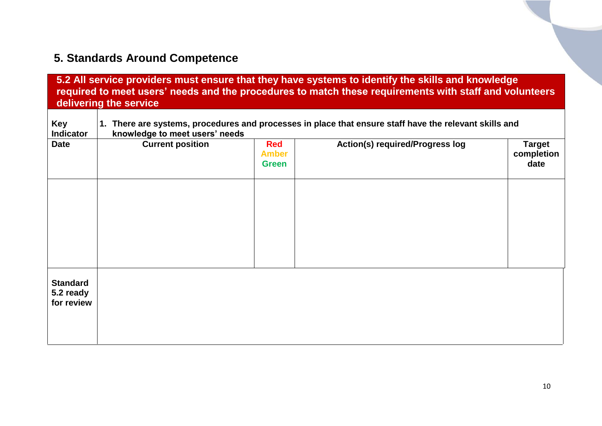## <span id="page-9-0"></span>**5. Standards Around Competence**

<span id="page-9-1"></span>

|                                            | delivering the service                                                                                                                   |                                            | 5.2 All service providers must ensure that they have systems to identify the skills and knowledge<br>required to meet users' needs and the procedures to match these requirements with staff and volunteers |                                     |  |  |
|--------------------------------------------|------------------------------------------------------------------------------------------------------------------------------------------|--------------------------------------------|-------------------------------------------------------------------------------------------------------------------------------------------------------------------------------------------------------------|-------------------------------------|--|--|
| <b>Key</b><br><b>Indicator</b>             | 1. There are systems, procedures and processes in place that ensure staff have the relevant skills and<br>knowledge to meet users' needs |                                            |                                                                                                                                                                                                             |                                     |  |  |
| <b>Date</b>                                | <b>Current position</b>                                                                                                                  | <b>Red</b><br><b>Amber</b><br><b>Green</b> | <b>Action(s) required/Progress log</b>                                                                                                                                                                      | <b>Target</b><br>completion<br>date |  |  |
|                                            |                                                                                                                                          |                                            |                                                                                                                                                                                                             |                                     |  |  |
|                                            |                                                                                                                                          |                                            |                                                                                                                                                                                                             |                                     |  |  |
|                                            |                                                                                                                                          |                                            |                                                                                                                                                                                                             |                                     |  |  |
| <b>Standard</b><br>5.2 ready<br>for review |                                                                                                                                          |                                            |                                                                                                                                                                                                             |                                     |  |  |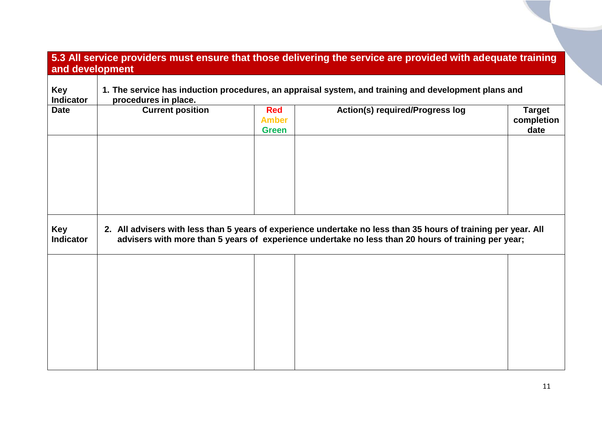#### **5.3 All service providers must ensure that those delivering the service are provided with adequate training and development**

| Key<br><b>Indicator</b> | 1. The service has induction procedures, an appraisal system, and training and development plans and<br>procedures in place.                                                                                          |                                            |                                        |                                     |  |  |  |
|-------------------------|-----------------------------------------------------------------------------------------------------------------------------------------------------------------------------------------------------------------------|--------------------------------------------|----------------------------------------|-------------------------------------|--|--|--|
| <b>Date</b>             | <b>Current position</b>                                                                                                                                                                                               | <b>Red</b><br><b>Amber</b><br><b>Green</b> | <b>Action(s) required/Progress log</b> | <b>Target</b><br>completion<br>date |  |  |  |
|                         |                                                                                                                                                                                                                       |                                            |                                        |                                     |  |  |  |
|                         |                                                                                                                                                                                                                       |                                            |                                        |                                     |  |  |  |
|                         |                                                                                                                                                                                                                       |                                            |                                        |                                     |  |  |  |
| Key<br><b>Indicator</b> | 2. All advisers with less than 5 years of experience undertake no less than 35 hours of training per year. All<br>advisers with more than 5 years of experience undertake no less than 20 hours of training per year; |                                            |                                        |                                     |  |  |  |
|                         |                                                                                                                                                                                                                       |                                            |                                        |                                     |  |  |  |
|                         |                                                                                                                                                                                                                       |                                            |                                        |                                     |  |  |  |
|                         |                                                                                                                                                                                                                       |                                            |                                        |                                     |  |  |  |
|                         |                                                                                                                                                                                                                       |                                            |                                        |                                     |  |  |  |
|                         |                                                                                                                                                                                                                       |                                            |                                        |                                     |  |  |  |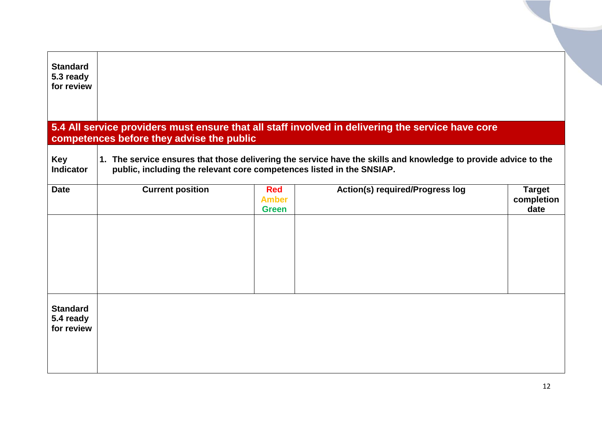<span id="page-11-0"></span>

| <b>Standard</b><br>5.3 ready<br>for review |                                                                       |                                            |                                                                                                                 |                                     |
|--------------------------------------------|-----------------------------------------------------------------------|--------------------------------------------|-----------------------------------------------------------------------------------------------------------------|-------------------------------------|
|                                            | competences before they advise the public                             |                                            | 5.4 All service providers must ensure that all staff involved in delivering the service have core               |                                     |
| <b>Key</b><br><b>Indicator</b>             | public, including the relevant core competences listed in the SNSIAP. |                                            | 1. The service ensures that those delivering the service have the skills and knowledge to provide advice to the |                                     |
| <b>Date</b>                                | <b>Current position</b>                                               | <b>Red</b><br><b>Amber</b><br><b>Green</b> | <b>Action(s) required/Progress log</b>                                                                          | <b>Target</b><br>completion<br>date |
| <b>Standard</b><br>5.4 ready<br>for review |                                                                       |                                            |                                                                                                                 |                                     |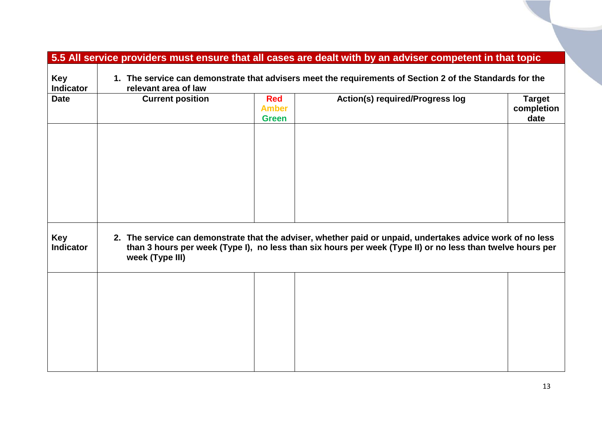<span id="page-12-0"></span>

|                                |                                                                                                                                  |                                            | 5.5 All service providers must ensure that all cases are dealt with by an adviser competent in that topic                                                                                                                |                                     |  |  |
|--------------------------------|----------------------------------------------------------------------------------------------------------------------------------|--------------------------------------------|--------------------------------------------------------------------------------------------------------------------------------------------------------------------------------------------------------------------------|-------------------------------------|--|--|
| <b>Key</b><br><b>Indicator</b> | 1. The service can demonstrate that advisers meet the requirements of Section 2 of the Standards for the<br>relevant area of law |                                            |                                                                                                                                                                                                                          |                                     |  |  |
| <b>Date</b>                    | <b>Current position</b>                                                                                                          | <b>Red</b><br><b>Amber</b><br><b>Green</b> | <b>Action(s) required/Progress log</b>                                                                                                                                                                                   | <b>Target</b><br>completion<br>date |  |  |
|                                |                                                                                                                                  |                                            |                                                                                                                                                                                                                          |                                     |  |  |
|                                |                                                                                                                                  |                                            |                                                                                                                                                                                                                          |                                     |  |  |
|                                |                                                                                                                                  |                                            |                                                                                                                                                                                                                          |                                     |  |  |
| <b>Key</b><br><b>Indicator</b> | week (Type III)                                                                                                                  |                                            | 2. The service can demonstrate that the adviser, whether paid or unpaid, undertakes advice work of no less<br>than 3 hours per week (Type I), no less than six hours per week (Type II) or no less than twelve hours per |                                     |  |  |
|                                |                                                                                                                                  |                                            |                                                                                                                                                                                                                          |                                     |  |  |
|                                |                                                                                                                                  |                                            |                                                                                                                                                                                                                          |                                     |  |  |
|                                |                                                                                                                                  |                                            |                                                                                                                                                                                                                          |                                     |  |  |
|                                |                                                                                                                                  |                                            |                                                                                                                                                                                                                          |                                     |  |  |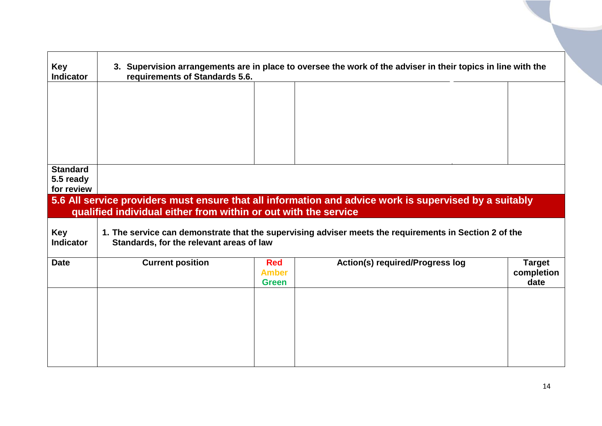<span id="page-13-0"></span>

| <b>Key</b><br><b>Indicator</b> | 3. Supervision arrangements are in place to oversee the work of the adviser in their topics in line with the<br>requirements of Standards 5.6. |              |                                                                                                        |               |  |
|--------------------------------|------------------------------------------------------------------------------------------------------------------------------------------------|--------------|--------------------------------------------------------------------------------------------------------|---------------|--|
|                                |                                                                                                                                                |              |                                                                                                        |               |  |
|                                |                                                                                                                                                |              |                                                                                                        |               |  |
|                                |                                                                                                                                                |              |                                                                                                        |               |  |
|                                |                                                                                                                                                |              |                                                                                                        |               |  |
| <b>Standard</b><br>5.5 ready   |                                                                                                                                                |              |                                                                                                        |               |  |
| for review                     |                                                                                                                                                |              |                                                                                                        |               |  |
|                                |                                                                                                                                                |              | 5.6 All service providers must ensure that all information and advice work is supervised by a suitably |               |  |
|                                | qualified individual either from within or out with the service                                                                                |              |                                                                                                        |               |  |
| Key<br><b>Indicator</b>        | Standards, for the relevant areas of law                                                                                                       |              | 1. The service can demonstrate that the supervising adviser meets the requirements in Section 2 of the |               |  |
| <b>Date</b>                    | <b>Current position</b>                                                                                                                        | <b>Red</b>   | <b>Action(s) required/Progress log</b>                                                                 | <b>Target</b> |  |
|                                |                                                                                                                                                | <b>Amber</b> |                                                                                                        | completion    |  |
|                                |                                                                                                                                                | <b>Green</b> |                                                                                                        | date          |  |
|                                |                                                                                                                                                |              |                                                                                                        |               |  |
|                                |                                                                                                                                                |              |                                                                                                        |               |  |
|                                |                                                                                                                                                |              |                                                                                                        |               |  |
|                                |                                                                                                                                                |              |                                                                                                        |               |  |
|                                |                                                                                                                                                |              |                                                                                                        |               |  |
|                                |                                                                                                                                                |              |                                                                                                        |               |  |
|                                |                                                                                                                                                |              |                                                                                                        |               |  |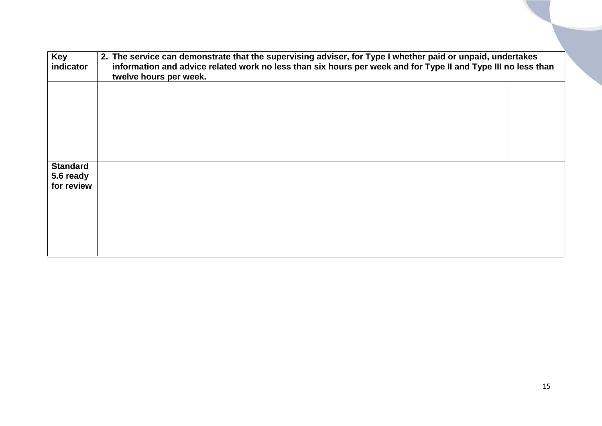| Key<br>indicator                           | 2. The service can demonstrate that the supervising adviser, for Type I whether paid or unpaid, undertakes<br>information and advice related work no less than six hours per week and for Type II and Type III no less than<br>twelve hours per week. |  |  |  |  |
|--------------------------------------------|-------------------------------------------------------------------------------------------------------------------------------------------------------------------------------------------------------------------------------------------------------|--|--|--|--|
|                                            |                                                                                                                                                                                                                                                       |  |  |  |  |
|                                            |                                                                                                                                                                                                                                                       |  |  |  |  |
|                                            |                                                                                                                                                                                                                                                       |  |  |  |  |
| <b>Standard</b><br>5.6 ready<br>for review |                                                                                                                                                                                                                                                       |  |  |  |  |
|                                            |                                                                                                                                                                                                                                                       |  |  |  |  |
|                                            |                                                                                                                                                                                                                                                       |  |  |  |  |
|                                            |                                                                                                                                                                                                                                                       |  |  |  |  |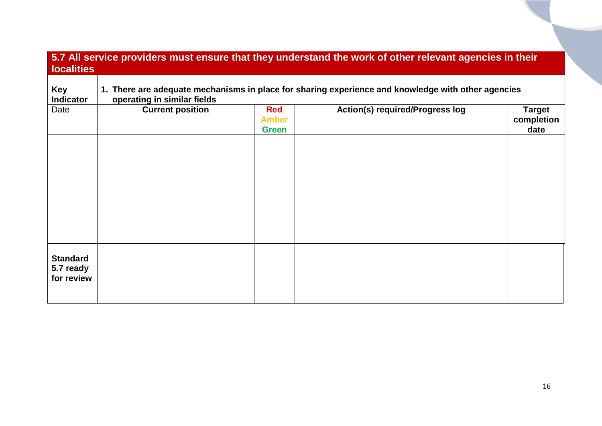<span id="page-15-1"></span><span id="page-15-0"></span>

| <b>Indicator</b>             | 1. There are adequate mechanisms in place for sharing experience and knowledge with other agencies<br>operating in similar fields |                                            |                                        |                                     |  |  |
|------------------------------|-----------------------------------------------------------------------------------------------------------------------------------|--------------------------------------------|----------------------------------------|-------------------------------------|--|--|
| Date                         | <b>Current position</b>                                                                                                           | <b>Red</b><br><b>Amber</b><br><b>Green</b> | <b>Action(s) required/Progress log</b> | <b>Target</b><br>completion<br>date |  |  |
|                              |                                                                                                                                   |                                            |                                        |                                     |  |  |
|                              |                                                                                                                                   |                                            |                                        |                                     |  |  |
|                              |                                                                                                                                   |                                            |                                        |                                     |  |  |
|                              |                                                                                                                                   |                                            |                                        |                                     |  |  |
| <b>Standard</b><br>5.7 ready |                                                                                                                                   |                                            |                                        |                                     |  |  |
| for review                   |                                                                                                                                   |                                            |                                        |                                     |  |  |